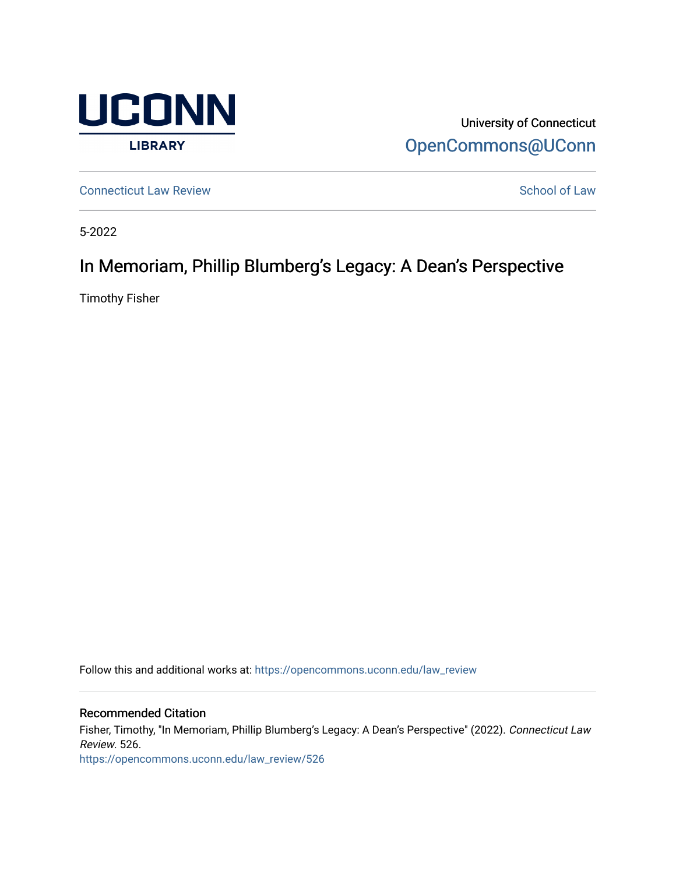

University of Connecticut [OpenCommons@UConn](https://opencommons.uconn.edu/) 

**[Connecticut Law Review](https://opencommons.uconn.edu/law_review) [School of Law](https://opencommons.uconn.edu/sol) Review School of Law School of Law School of Law School of Law School of Law School of Law School of Law School of Law School of Law School of Law School of Law School of Law School of** 

5-2022

## In Memoriam, Phillip Blumberg's Legacy: A Dean's Perspective

Timothy Fisher

Follow this and additional works at: [https://opencommons.uconn.edu/law\\_review](https://opencommons.uconn.edu/law_review?utm_source=opencommons.uconn.edu%2Flaw_review%2F526&utm_medium=PDF&utm_campaign=PDFCoverPages)

Recommended Citation

Fisher, Timothy, "In Memoriam, Phillip Blumberg's Legacy: A Dean's Perspective" (2022). Connecticut Law Review. 526.

[https://opencommons.uconn.edu/law\\_review/526](https://opencommons.uconn.edu/law_review/526?utm_source=opencommons.uconn.edu%2Flaw_review%2F526&utm_medium=PDF&utm_campaign=PDFCoverPages)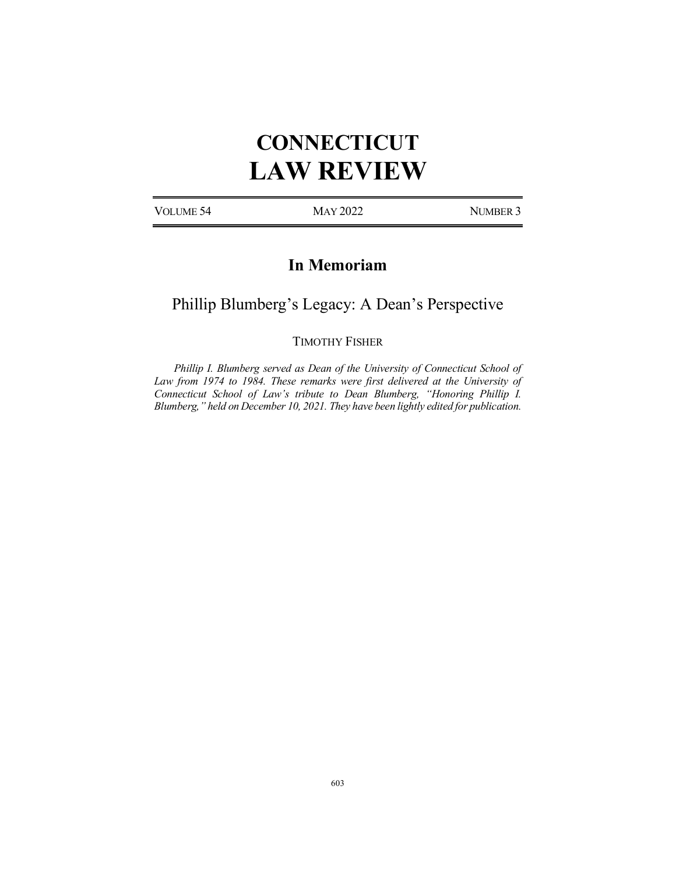# **CONNECTICUT LAW REVIEW**

VOLUME 54 MAY 2022 NUMBER 3

#### **In Memoriam**

### Phillip Blumberg's Legacy: A Dean's Perspective

#### TIMOTHY FISHER

*Phillip I. Blumberg served as Dean of the University of Connecticut School of*  Law from 1974 to 1984. These remarks were first delivered at the University of *Connecticut School of Law's tribute to Dean Blumberg, "Honoring Phillip I. Blumberg," held on December 10, 2021. They have been lightly edited for publication.*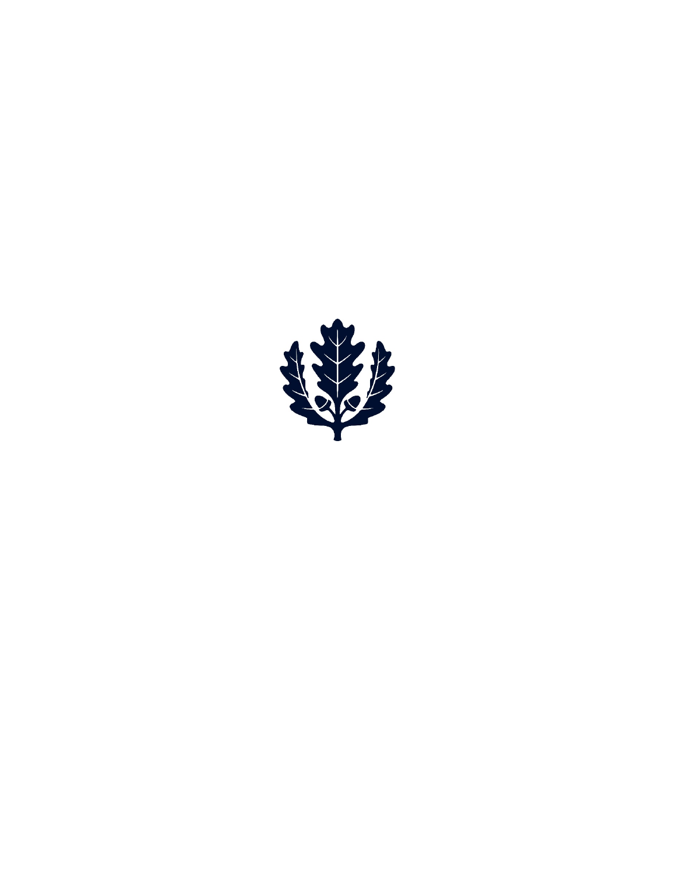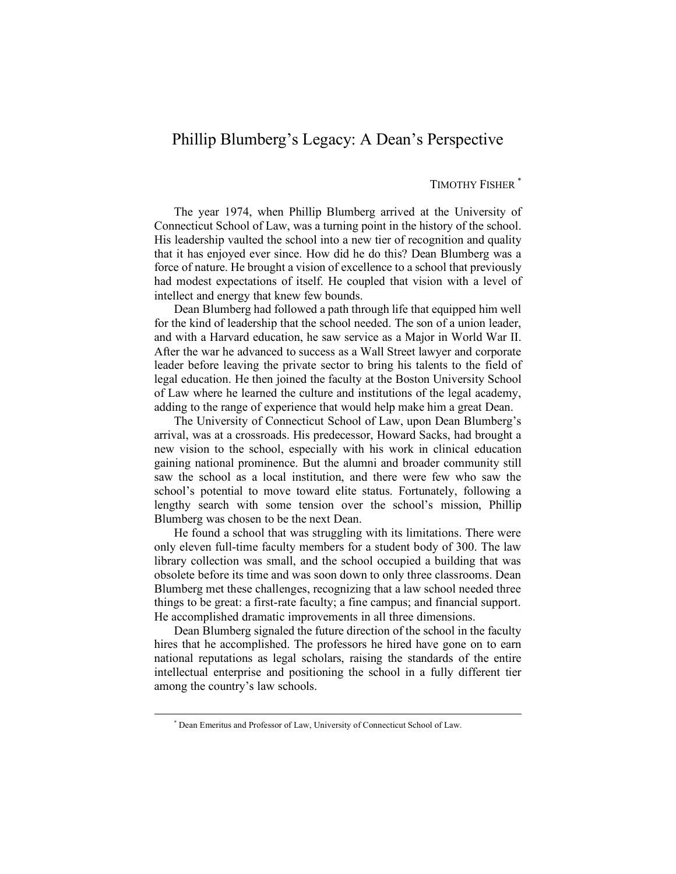#### Phillip Blumberg's Legacy: A Dean's Perspective

TIMOTHY FISHER \*

The year 1974, when Phillip Blumberg arrived at the University of Connecticut School of Law, was a turning point in the history of the school. His leadership vaulted the school into a new tier of recognition and quality that it has enjoyed ever since. How did he do this? Dean Blumberg was a force of nature. He brought a vision of excellence to a school that previously had modest expectations of itself. He coupled that vision with a level of intellect and energy that knew few bounds.

Dean Blumberg had followed a path through life that equipped him well for the kind of leadership that the school needed. The son of a union leader, and with a Harvard education, he saw service as a Major in World War II. After the war he advanced to success as a Wall Street lawyer and corporate leader before leaving the private sector to bring his talents to the field of legal education. He then joined the faculty at the Boston University School of Law where he learned the culture and institutions of the legal academy, adding to the range of experience that would help make him a great Dean.

The University of Connecticut School of Law, upon Dean Blumberg's arrival, was at a crossroads. His predecessor, Howard Sacks, had brought a new vision to the school, especially with his work in clinical education gaining national prominence. But the alumni and broader community still saw the school as a local institution, and there were few who saw the school's potential to move toward elite status. Fortunately, following a lengthy search with some tension over the school's mission, Phillip Blumberg was chosen to be the next Dean.

He found a school that was struggling with its limitations. There were only eleven full-time faculty members for a student body of 300. The law library collection was small, and the school occupied a building that was obsolete before its time and was soon down to only three classrooms. Dean Blumberg met these challenges, recognizing that a law school needed three things to be great: a first-rate faculty; a fine campus; and financial support. He accomplished dramatic improvements in all three dimensions.

Dean Blumberg signaled the future direction of the school in the faculty hires that he accomplished. The professors he hired have gone on to earn national reputations as legal scholars, raising the standards of the entire intellectual enterprise and positioning the school in a fully different tier among the country's law schools.

 <sup>\*</sup> Dean Emeritus and Professor of Law, University of Connecticut School of Law.